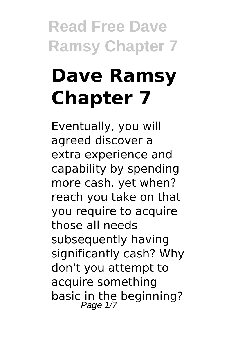# **Dave Ramsy Chapter 7**

Eventually, you will agreed discover a extra experience and capability by spending more cash. yet when? reach you take on that you require to acquire those all needs subsequently having significantly cash? Why don't you attempt to acquire something basic in the beginning?<br>Page 1/7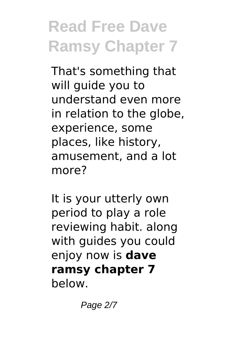That's something that will guide you to understand even more in relation to the globe, experience, some places, like history, amusement, and a lot more?

It is your utterly own period to play a role reviewing habit. along with guides you could enjoy now is **dave ramsy chapter 7** below.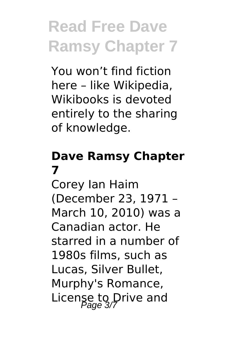You won't find fiction here – like Wikipedia, Wikibooks is devoted entirely to the sharing of knowledge.

#### **Dave Ramsy Chapter 7**

Corey Ian Haim (December 23, 1971 – March 10, 2010) was a Canadian actor. He starred in a number of 1980s films, such as Lucas, Silver Bullet, Murphy's Romance, License to Drive and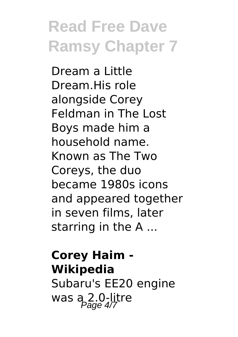Dream a Little Dream.His role alongside Corey Feldman in The Lost Boys made him a household name. Known as The Two Coreys, the duo became 1980s icons and appeared together in seven films, later starring in the A ...

#### **Corey Haim - Wikipedia** Subaru's EE20 engine was  $a_{\text{Page 4/7}}^{2.0}$ -litre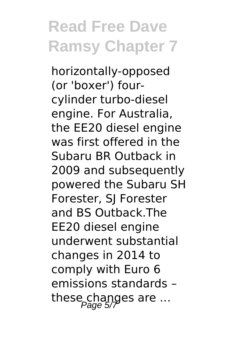horizontally-opposed (or 'boxer') fourcylinder turbo-diesel engine. For Australia, the EE20 diesel engine was first offered in the Subaru BR Outback in 2009 and subsequently powered the Subaru SH Forester, SJ Forester and BS Outback.The EE20 diesel engine underwent substantial changes in 2014 to comply with Euro 6 emissions standards – these changes are ...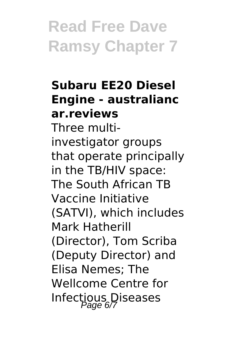#### **Subaru EE20 Diesel Engine - australianc ar.reviews**

Three multiinvestigator groups that operate principally in the TB/HIV space: The South African TB Vaccine Initiative (SATVI), which includes Mark Hatherill (Director), Tom Scriba (Deputy Director) and Elisa Nemes; The Wellcome Centre for Infectious Diseases